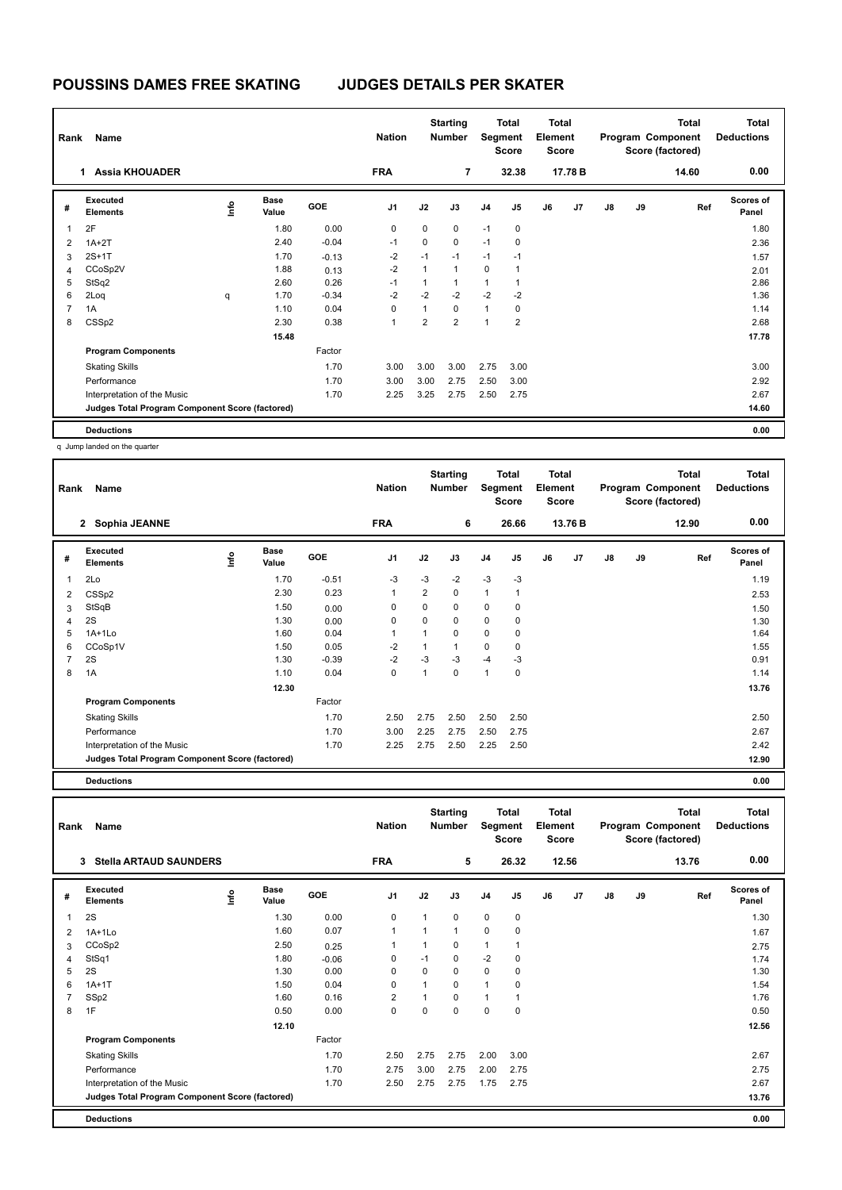| Rank           | Name                                            |      | <b>Nation</b>        |            | <b>Starting</b><br><b>Number</b> | <b>Total</b><br>Segment<br><b>Score</b> |                | <b>Total</b><br>Element<br><b>Score</b> |                | <b>Total</b><br>Program Component<br>Score (factored) |         |    | Total<br><b>Deductions</b> |       |                           |
|----------------|-------------------------------------------------|------|----------------------|------------|----------------------------------|-----------------------------------------|----------------|-----------------------------------------|----------------|-------------------------------------------------------|---------|----|----------------------------|-------|---------------------------|
|                | <b>Assia KHOUADER</b><br>1                      |      |                      |            | <b>FRA</b>                       |                                         | $\overline{7}$ |                                         | 32.38          |                                                       | 17.78 B |    |                            | 14.60 | 0.00                      |
| #              | Executed<br><b>Elements</b>                     | lnfo | <b>Base</b><br>Value | <b>GOE</b> | J <sub>1</sub>                   | J2                                      | J3             | J <sub>4</sub>                          | J <sub>5</sub> | J6                                                    | J7      | J8 | J9                         | Ref   | <b>Scores of</b><br>Panel |
| $\overline{1}$ | 2F                                              |      | 1.80                 | 0.00       | 0                                | 0                                       | $\mathbf 0$    | $-1$                                    | 0              |                                                       |         |    |                            |       | 1.80                      |
| $\overline{2}$ | $1A+2T$                                         |      | 2.40                 | $-0.04$    | $-1$                             | 0                                       | $\mathbf 0$    | $-1$                                    | 0              |                                                       |         |    |                            |       | 2.36                      |
| 3              | $2S+1T$                                         |      | 1.70                 | $-0.13$    | $-2$                             | $-1$                                    | $-1$           | $-1$                                    | $-1$           |                                                       |         |    |                            |       | 1.57                      |
| $\overline{4}$ | CCoSp2V                                         |      | 1.88                 | 0.13       | $-2$                             | 1                                       | $\mathbf{1}$   | 0                                       | $\overline{1}$ |                                                       |         |    |                            |       | 2.01                      |
| 5              | StSq2                                           |      | 2.60                 | 0.26       | -1                               | 1                                       | $\mathbf{1}$   | 1                                       | -1             |                                                       |         |    |                            |       | 2.86                      |
| 6              | 2Loq                                            | q    | 1.70                 | $-0.34$    | $-2$                             | $-2$                                    | $-2$           | $-2$                                    | $-2$           |                                                       |         |    |                            |       | 1.36                      |
| $\overline{7}$ | 1A                                              |      | 1.10                 | 0.04       | $\Omega$                         | $\mathbf{1}$                            | $\Omega$       | $\mathbf{1}$                            | 0              |                                                       |         |    |                            |       | 1.14                      |
| 8              | CSS <sub>p2</sub>                               |      | 2.30                 | 0.38       | 1                                | $\overline{2}$                          | $\overline{2}$ | $\overline{1}$                          | $\overline{2}$ |                                                       |         |    |                            |       | 2.68                      |
|                |                                                 |      | 15.48                |            |                                  |                                         |                |                                         |                |                                                       |         |    |                            |       | 17.78                     |
|                | <b>Program Components</b>                       |      |                      | Factor     |                                  |                                         |                |                                         |                |                                                       |         |    |                            |       |                           |
|                | <b>Skating Skills</b>                           |      |                      | 1.70       | 3.00                             | 3.00                                    | 3.00           | 2.75                                    | 3.00           |                                                       |         |    |                            |       | 3.00                      |
|                | Performance                                     |      |                      | 1.70       | 3.00                             | 3.00                                    | 2.75           | 2.50                                    | 3.00           |                                                       |         |    |                            |       | 2.92                      |
|                | Interpretation of the Music                     |      |                      | 1.70       | 2.25                             | 3.25                                    | 2.75           | 2.50                                    | 2.75           |                                                       |         |    |                            |       | 2.67                      |
|                | Judges Total Program Component Score (factored) |      |                      |            |                                  |                                         |                |                                         |                |                                                       |         |    |                            |       | 14.60                     |
|                | <b>Deductions</b>                               |      |                      |            |                                  |                                         |                |                                         |                |                                                       |         |    |                            |       | 0.00                      |

q Jump landed on the quarter

|   | Rank<br>Name                                    |      |                      |            | <b>Nation</b>  |                | <b>Starting</b><br><b>Number</b> |                | Total<br>Segment<br><b>Score</b> |    | <b>Total</b><br>Element<br>Score |    |    | <b>Total</b><br>Program Component<br>Score (factored) | <b>Total</b><br><b>Deductions</b> |
|---|-------------------------------------------------|------|----------------------|------------|----------------|----------------|----------------------------------|----------------|----------------------------------|----|----------------------------------|----|----|-------------------------------------------------------|-----------------------------------|
|   | 2 Sophia JEANNE                                 |      |                      |            | <b>FRA</b>     |                | 6                                |                | 26.66                            |    | 13.76 B                          |    |    | 12.90                                                 | 0.00                              |
| # | Executed<br><b>Elements</b>                     | ١nfo | <b>Base</b><br>Value | <b>GOE</b> | J <sub>1</sub> | J2             | J3                               | J <sub>4</sub> | J <sub>5</sub>                   | J6 | J <sub>7</sub>                   | J8 | J9 | Ref                                                   | <b>Scores of</b><br>Panel         |
| 1 | 2Lo                                             |      | 1.70                 | $-0.51$    | $-3$           | $-3$           | $-2$                             | $-3$           | $-3$                             |    |                                  |    |    |                                                       | 1.19                              |
| 2 | CSS <sub>p2</sub>                               |      | 2.30                 | 0.23       | 1              | $\overline{2}$ | 0                                | $\mathbf{1}$   |                                  |    |                                  |    |    |                                                       | 2.53                              |
| 3 | StSqB                                           |      | 1.50                 | 0.00       | $\mathbf 0$    | 0              | 0                                | $\mathbf 0$    | 0                                |    |                                  |    |    |                                                       | 1.50                              |
| 4 | 2S                                              |      | 1.30                 | 0.00       | $\mathbf 0$    | 0              | 0                                | 0              | 0                                |    |                                  |    |    |                                                       | 1.30                              |
| 5 | $1A+1Lo$                                        |      | 1.60                 | 0.04       | $\overline{1}$ | $\overline{1}$ | 0                                | $\mathbf 0$    | 0                                |    |                                  |    |    |                                                       | 1.64                              |
| 6 | CCoSp1V                                         |      | 1.50                 | 0.05       | $-2$           |                | 1                                | $\mathbf 0$    | 0                                |    |                                  |    |    |                                                       | 1.55                              |
| 7 | 2S                                              |      | 1.30                 | $-0.39$    | $-2$           | $-3$           | $-3$                             | $-4$           | -3                               |    |                                  |    |    |                                                       | 0.91                              |
| 8 | 1A                                              |      | 1.10                 | 0.04       | 0              | 1              | 0                                | $\overline{1}$ | 0                                |    |                                  |    |    |                                                       | 1.14                              |
|   |                                                 |      | 12.30                |            |                |                |                                  |                |                                  |    |                                  |    |    |                                                       | 13.76                             |
|   | <b>Program Components</b>                       |      |                      | Factor     |                |                |                                  |                |                                  |    |                                  |    |    |                                                       |                                   |
|   | <b>Skating Skills</b>                           |      |                      | 1.70       | 2.50           | 2.75           | 2.50                             | 2.50           | 2.50                             |    |                                  |    |    |                                                       | 2.50                              |
|   | Performance                                     |      |                      | 1.70       | 3.00           | 2.25           | 2.75                             | 2.50           | 2.75                             |    |                                  |    |    |                                                       | 2.67                              |
|   | Interpretation of the Music                     |      |                      | 1.70       | 2.25           | 2.75           | 2.50                             | 2.25           | 2.50                             |    |                                  |    |    |                                                       | 2.42                              |
|   | Judges Total Program Component Score (factored) |      |                      |            |                |                |                                  |                |                                  |    |                                  |    |    |                                                       | 12.90                             |
|   |                                                 |      |                      |            |                |                |                                  |                |                                  |    |                                  |    |    |                                                       |                                   |

**Deductions 0.00**

**Total Deductions Total Program Component Score (factored) Total Element Segment Score Total Score Starting Rank Name Nation Number # Executed Elements Base Value GOE J1 J2 J3 J4 J5 J6 J7 J8 J9 Scores of Panel** 1 1.30 0.00 0 1 0 0 0 **Ref**  سماء بن الله المسابق السماء المسابق المسابق المسابق المسابق المسابق المسابق المسابق المسابق المسابق المسابق ال<br>2S 1.30 0.00 0 1 0 0 0<br>2S 1.30 0.00 0 1 0 0 0  **3 Stella ARTAUD SAUNDERS FRA 5 26.32 12.56 13.76 0.00** 2 1A+1Lo 1.60 0.07 1 1 1 0 0 1.67 3 CCoSp2 2.50 0.25 1 1 0 1 1 2.75 4 StSq1 1.80 -0.06 0 -1 0 -2 0 1.74 5 2S 1.30 0.00 0 0 0 0 0 1.30 6 1A+1T 1.50 0.04 0 1 0 1 0 1.54 7 SSp2 1.60 0.16 2 1 0 1 1 1.76 8 1F 0.50 0.00 0 0 0 0 0 0.50  **12.10 12.56 Program Components**  Skating Skills 2.50 2.75 2.75 2.00 3.00 Factor 1.70 2.50 2.75 2.75 2.00 3.00 2.67 Performance 1.70 2.75 3.00 2.75 2.00 2.75 2.75 Interpretation of the Music 2.67 2.75 2.75 2.75 1.75 2.75 2.75 2.75 2.75 2.87 **Deductions 0.00 Judges Total Program Component Score (factored) 13.76**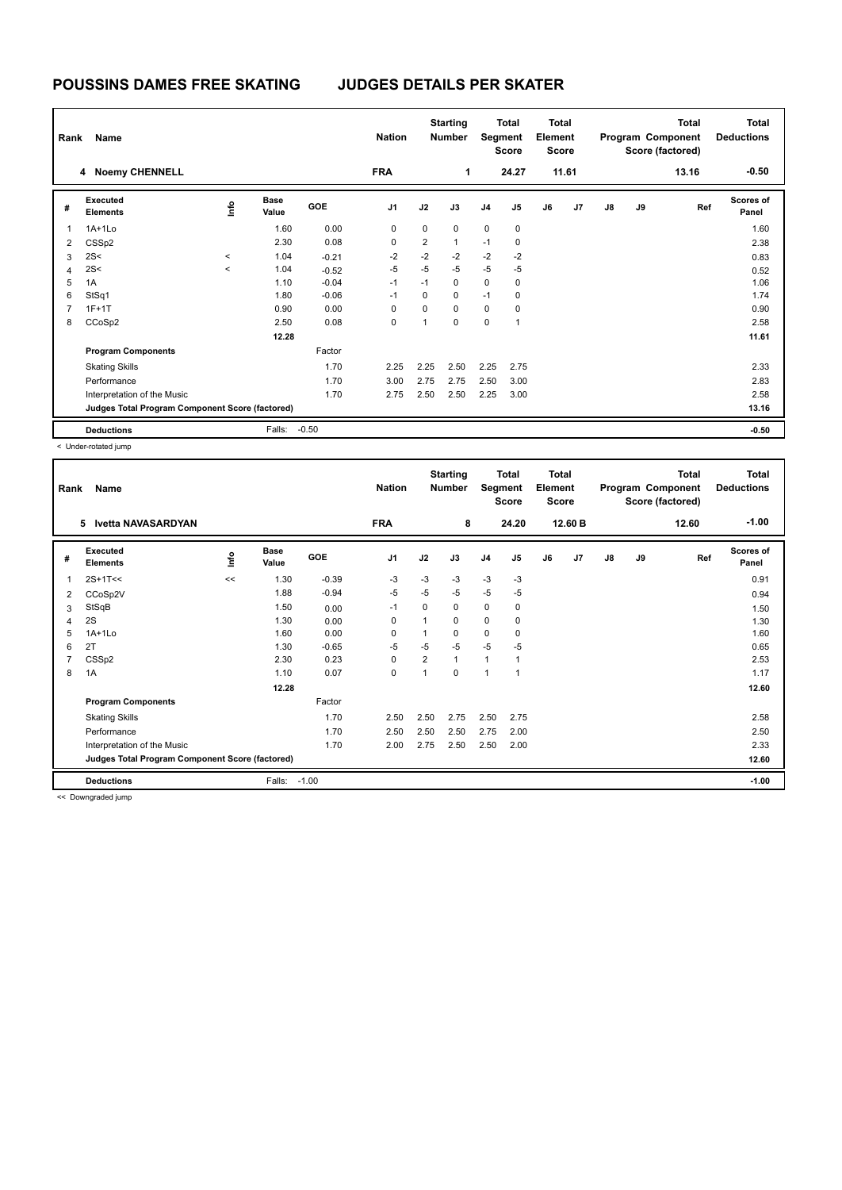| Rank           | Name                                            |       |                      |            | <b>Nation</b>  |                | <b>Starting</b><br><b>Number</b> |                | Total<br>Segment<br><b>Score</b> | <b>Total</b><br>Element<br><b>Score</b> |       | <b>Total</b><br>Program Component<br>Score (factored) |    |       | <b>Total</b><br><b>Deductions</b> |
|----------------|-------------------------------------------------|-------|----------------------|------------|----------------|----------------|----------------------------------|----------------|----------------------------------|-----------------------------------------|-------|-------------------------------------------------------|----|-------|-----------------------------------|
|                | 4 Noemy CHENNELL                                |       |                      |            | <b>FRA</b>     |                | 1                                |                | 24.27                            |                                         | 11.61 |                                                       |    | 13.16 | $-0.50$                           |
| #              | Executed<br><b>Elements</b>                     | lnfo  | <b>Base</b><br>Value | <b>GOE</b> | J <sub>1</sub> | J2             | J3                               | J <sub>4</sub> | J <sub>5</sub>                   | J6                                      | J7    | $\mathsf{J}8$                                         | J9 | Ref   | <b>Scores of</b><br>Panel         |
| 1              | $1A+1L0$                                        |       | 1.60                 | 0.00       | 0              | 0              | $\mathbf 0$                      | $\mathbf 0$    | $\mathbf 0$                      |                                         |       |                                                       |    |       | 1.60                              |
| $\overline{2}$ | CSS <sub>p2</sub>                               |       | 2.30                 | 0.08       | 0              | $\overline{2}$ | $\mathbf{1}$                     | $-1$           | 0                                |                                         |       |                                                       |    |       | 2.38                              |
| 3              | 2S<                                             | $\,<$ | 1.04                 | $-0.21$    | $-2$           | $-2$           | $-2$                             | $-2$           | $-2$                             |                                         |       |                                                       |    |       | 0.83                              |
| $\overline{4}$ | 2S<                                             | $\,<$ | 1.04                 | $-0.52$    | $-5$           | $-5$           | $-5$                             | $-5$           | $-5$                             |                                         |       |                                                       |    |       | 0.52                              |
| 5              | 1A                                              |       | 1.10                 | $-0.04$    | $-1$           | $-1$           | $\mathbf 0$                      | 0              | 0                                |                                         |       |                                                       |    |       | 1.06                              |
| 6              | StSq1                                           |       | 1.80                 | $-0.06$    | $-1$           | 0              | $\mathbf 0$                      | $-1$           | 0                                |                                         |       |                                                       |    |       | 1.74                              |
| $\overline{7}$ | $1F+1T$                                         |       | 0.90                 | 0.00       | $\mathbf 0$    | $\Omega$       | $\Omega$                         | $\mathbf 0$    | $\mathbf 0$                      |                                         |       |                                                       |    |       | 0.90                              |
| 8              | CCoSp2                                          |       | 2.50                 | 0.08       | 0              | 1              | $\mathbf 0$                      | 0              | $\overline{1}$                   |                                         |       |                                                       |    |       | 2.58                              |
|                |                                                 |       | 12.28                |            |                |                |                                  |                |                                  |                                         |       |                                                       |    |       | 11.61                             |
|                | <b>Program Components</b>                       |       |                      | Factor     |                |                |                                  |                |                                  |                                         |       |                                                       |    |       |                                   |
|                | <b>Skating Skills</b>                           |       |                      | 1.70       | 2.25           | 2.25           | 2.50                             | 2.25           | 2.75                             |                                         |       |                                                       |    |       | 2.33                              |
|                | Performance                                     |       |                      | 1.70       | 3.00           | 2.75           | 2.75                             | 2.50           | 3.00                             |                                         |       |                                                       |    |       | 2.83                              |
|                | Interpretation of the Music                     |       |                      | 1.70       | 2.75           | 2.50           | 2.50                             | 2.25           | 3.00                             |                                         |       |                                                       |    |       | 2.58                              |
|                | Judges Total Program Component Score (factored) |       |                      |            |                |                |                                  |                |                                  |                                         |       |                                                       |    |       | 13.16                             |
|                | <b>Deductions</b>                               |       | Falls:               | $-0.50$    |                |                |                                  |                |                                  |                                         |       |                                                       |    |       | $-0.50$                           |

< Under-rotated jump

| Rank           | Name                                            |             |                      |         | <b>Nation</b> |          | <b>Starting</b><br><b>Number</b> | Segment        | <b>Total</b><br><b>Score</b> | <b>Total</b><br>Element<br><b>Score</b> |         |               |    | <b>Total</b><br>Program Component<br>Score (factored) | <b>Total</b><br><b>Deductions</b> |
|----------------|-------------------------------------------------|-------------|----------------------|---------|---------------|----------|----------------------------------|----------------|------------------------------|-----------------------------------------|---------|---------------|----|-------------------------------------------------------|-----------------------------------|
|                | <b>Ivetta NAVASARDYAN</b><br>5                  |             |                      |         | <b>FRA</b>    |          | 8                                |                | 24.20                        |                                         | 12.60 B |               |    | 12.60                                                 | $-1.00$                           |
| #              | Executed<br><b>Elements</b>                     | <u>info</u> | <b>Base</b><br>Value | GOE     | J1            | J2       | J3                               | J <sub>4</sub> | J5                           | J6                                      | J7      | $\mathsf{J}8$ | J9 | Ref                                                   | <b>Scores of</b><br>Panel         |
| 1              | $2S+1T<<$                                       | <<          | 1.30                 | $-0.39$ | -3            | $-3$     | $-3$                             | $-3$           | $-3$                         |                                         |         |               |    |                                                       | 0.91                              |
| 2              | CCoSp2V                                         |             | 1.88                 | $-0.94$ | -5            | $-5$     | $-5$                             | -5             | $-5$                         |                                         |         |               |    |                                                       | 0.94                              |
| 3              | StSqB                                           |             | 1.50                 | 0.00    | $-1$          | $\Omega$ | 0                                | $\pmb{0}$      | 0                            |                                         |         |               |    |                                                       | 1.50                              |
| 4              | 2S                                              |             | 1.30                 | 0.00    | 0             | 1        | 0                                | 0              | 0                            |                                         |         |               |    |                                                       | 1.30                              |
| 5              | $1A+1Lo$                                        |             | 1.60                 | 0.00    | 0             | 1        | 0                                | $\mathbf 0$    | 0                            |                                         |         |               |    |                                                       | 1.60                              |
| 6              | 2T                                              |             | 1.30                 | $-0.65$ | $-5$          | $-5$     | $-5$                             | $-5$           | $-5$                         |                                         |         |               |    |                                                       | 0.65                              |
| $\overline{7}$ | CSS <sub>p2</sub>                               |             | 2.30                 | 0.23    | 0             | 2        | $\mathbf{1}$                     | $\mathbf{1}$   | 1                            |                                         |         |               |    |                                                       | 2.53                              |
| 8              | 1A                                              |             | 1.10                 | 0.07    | $\mathbf 0$   | 1        | 0                                | 1              | 1                            |                                         |         |               |    |                                                       | 1.17                              |
|                |                                                 |             | 12.28                |         |               |          |                                  |                |                              |                                         |         |               |    |                                                       | 12.60                             |
|                | <b>Program Components</b>                       |             |                      | Factor  |               |          |                                  |                |                              |                                         |         |               |    |                                                       |                                   |
|                | <b>Skating Skills</b>                           |             |                      | 1.70    | 2.50          | 2.50     | 2.75                             | 2.50           | 2.75                         |                                         |         |               |    |                                                       | 2.58                              |
|                | Performance                                     |             |                      | 1.70    | 2.50          | 2.50     | 2.50                             | 2.75           | 2.00                         |                                         |         |               |    |                                                       | 2.50                              |
|                | Interpretation of the Music                     |             |                      | 1.70    | 2.00          | 2.75     | 2.50                             | 2.50           | 2.00                         |                                         |         |               |    |                                                       | 2.33                              |
|                | Judges Total Program Component Score (factored) |             |                      |         |               |          |                                  |                |                              |                                         |         |               |    |                                                       | 12.60                             |
|                | <b>Deductions</b>                               |             | Falls:               | $-1.00$ |               |          |                                  |                |                              |                                         |         |               |    |                                                       | $-1.00$                           |

<< Downgraded jump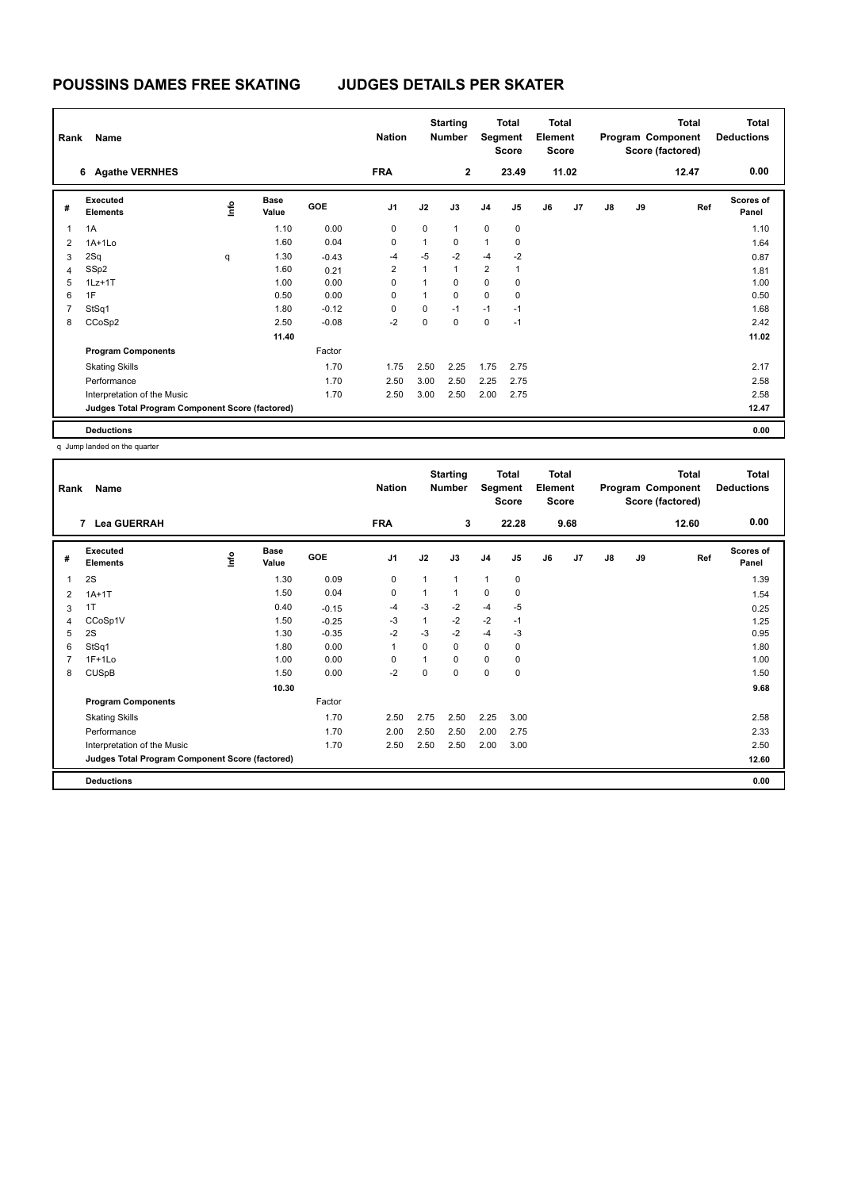| Rank         | Name                                            |      | <b>Nation</b>        |            | <b>Starting</b><br><b>Number</b> | Segment      | <b>Total</b><br><b>Score</b> | <b>Total</b><br>Element<br><b>Score</b> |                |    | Total<br>Program Component<br>Score (factored) |    | Total<br><b>Deductions</b> |       |                           |
|--------------|-------------------------------------------------|------|----------------------|------------|----------------------------------|--------------|------------------------------|-----------------------------------------|----------------|----|------------------------------------------------|----|----------------------------|-------|---------------------------|
|              | <b>Agathe VERNHES</b><br>6                      |      |                      |            | <b>FRA</b>                       |              | $\mathbf{2}$                 |                                         | 23.49          |    | 11.02                                          |    |                            | 12.47 | 0.00                      |
| #            | Executed<br><b>Elements</b>                     | lnfo | <b>Base</b><br>Value | <b>GOE</b> | J <sub>1</sub>                   | J2           | J3                           | J <sub>4</sub>                          | J <sub>5</sub> | J6 | J7                                             | J8 | J9                         | Ref   | <b>Scores of</b><br>Panel |
| $\mathbf{1}$ | 1A                                              |      | 1.10                 | 0.00       | $\mathbf 0$                      | $\mathbf 0$  | $\mathbf{1}$                 | $\mathbf 0$                             | $\mathbf 0$    |    |                                                |    |                            |       | 1.10                      |
| 2            | $1A+1L0$                                        |      | 1.60                 | 0.04       | 0                                | 1            | 0                            | 1                                       | 0              |    |                                                |    |                            |       | 1.64                      |
| 3            | 2Sq                                             | q    | 1.30                 | $-0.43$    | $-4$                             | $-5$         | $-2$                         | $-4$                                    | $-2$           |    |                                                |    |                            |       | 0.87                      |
| 4            | SSp2                                            |      | 1.60                 | 0.21       | $\overline{2}$                   | $\mathbf{1}$ | $\mathbf{1}$                 | $\overline{2}$                          | 1              |    |                                                |    |                            |       | 1.81                      |
| 5            | $1Lz+1T$                                        |      | 1.00                 | 0.00       | 0                                | 1            | 0                            | $\mathbf 0$                             | 0              |    |                                                |    |                            |       | 1.00                      |
| 6            | 1F                                              |      | 0.50                 | 0.00       | 0                                | $\mathbf{1}$ | $\Omega$                     | $\mathbf 0$                             | 0              |    |                                                |    |                            |       | 0.50                      |
| 7            | StSq1                                           |      | 1.80                 | $-0.12$    | $\Omega$                         | 0            | $-1$                         | $-1$                                    | $-1$           |    |                                                |    |                            |       | 1.68                      |
| 8            | CCoSp2                                          |      | 2.50                 | $-0.08$    | $-2$                             | $\mathbf 0$  | $\mathbf 0$                  | $\mathbf 0$                             | $-1$           |    |                                                |    |                            |       | 2.42                      |
|              |                                                 |      | 11.40                |            |                                  |              |                              |                                         |                |    |                                                |    |                            |       | 11.02                     |
|              | <b>Program Components</b>                       |      |                      | Factor     |                                  |              |                              |                                         |                |    |                                                |    |                            |       |                           |
|              | <b>Skating Skills</b>                           |      |                      | 1.70       | 1.75                             | 2.50         | 2.25                         | 1.75                                    | 2.75           |    |                                                |    |                            |       | 2.17                      |
|              | Performance                                     |      |                      | 1.70       | 2.50                             | 3.00         | 2.50                         | 2.25                                    | 2.75           |    |                                                |    |                            |       | 2.58                      |
|              | Interpretation of the Music                     |      |                      | 1.70       | 2.50                             | 3.00         | 2.50                         | 2.00                                    | 2.75           |    |                                                |    |                            |       | 2.58                      |
|              | Judges Total Program Component Score (factored) |      |                      |            |                                  |              |                              |                                         |                |    |                                                |    |                            |       | 12.47                     |
|              | <b>Deductions</b>                               |      |                      |            |                                  |              |                              |                                         |                |    |                                                |    |                            |       | 0.00                      |

q Jump landed on the quarter

| Rank | Name                                            |             |                      | <b>Nation</b> |                | <b>Starting</b><br><b>Number</b> | Segment | <b>Total</b><br><b>Score</b> | <b>Total</b><br>Element<br>Score |    |      |               | Total<br>Program Component<br>Score (factored) | Total<br><b>Deductions</b> |                           |
|------|-------------------------------------------------|-------------|----------------------|---------------|----------------|----------------------------------|---------|------------------------------|----------------------------------|----|------|---------------|------------------------------------------------|----------------------------|---------------------------|
|      | 7 Lea GUERRAH                                   |             |                      |               | <b>FRA</b>     |                                  | 3       |                              | 22.28                            |    | 9.68 |               |                                                | 12.60                      | 0.00                      |
| #    | <b>Executed</b><br><b>Elements</b>              | <u>info</u> | <b>Base</b><br>Value | GOE           | J <sub>1</sub> | J2                               | J3      | J <sub>4</sub>               | J <sub>5</sub>                   | J6 | J7   | $\mathsf{J}8$ | J9                                             | Ref                        | <b>Scores of</b><br>Panel |
| 1    | 2S                                              |             | 1.30                 | 0.09          | 0              | 1                                | 1       | $\mathbf{1}$                 | 0                                |    |      |               |                                                |                            | 1.39                      |
| 2    | $1A+1T$                                         |             | 1.50                 | 0.04          | 0              | 1                                | 1       | 0                            | 0                                |    |      |               |                                                |                            | 1.54                      |
| 3    | 1T                                              |             | 0.40                 | $-0.15$       | $-4$           | $-3$                             | $-2$    | $-4$                         | $-5$                             |    |      |               |                                                |                            | 0.25                      |
| 4    | CCoSp1V                                         |             | 1.50                 | $-0.25$       | -3             | 1                                | $-2$    | $-2$                         | $-1$                             |    |      |               |                                                |                            | 1.25                      |
| 5    | 2S                                              |             | 1.30                 | $-0.35$       | $-2$           | $-3$                             | $-2$    | -4                           | -3                               |    |      |               |                                                |                            | 0.95                      |
| 6    | StSq1                                           |             | 1.80                 | 0.00          | 1              | 0                                | 0       | 0                            | 0                                |    |      |               |                                                |                            | 1.80                      |
|      | $1F+1Lo$                                        |             | 1.00                 | 0.00          | 0              | 1                                | 0       | $\mathbf 0$                  | 0                                |    |      |               |                                                |                            | 1.00                      |
| 8    | <b>CUSpB</b>                                    |             | 1.50                 | 0.00          | $-2$           | 0                                | 0       | $\mathbf 0$                  | 0                                |    |      |               |                                                |                            | 1.50                      |
|      |                                                 |             | 10.30                |               |                |                                  |         |                              |                                  |    |      |               |                                                |                            | 9.68                      |
|      | <b>Program Components</b>                       |             |                      | Factor        |                |                                  |         |                              |                                  |    |      |               |                                                |                            |                           |
|      | <b>Skating Skills</b>                           |             |                      | 1.70          | 2.50           | 2.75                             | 2.50    | 2.25                         | 3.00                             |    |      |               |                                                |                            | 2.58                      |
|      | Performance                                     |             |                      | 1.70          | 2.00           | 2.50                             | 2.50    | 2.00                         | 2.75                             |    |      |               |                                                |                            | 2.33                      |
|      | Interpretation of the Music                     |             |                      | 1.70          | 2.50           | 2.50                             | 2.50    | 2.00                         | 3.00                             |    |      |               |                                                |                            | 2.50                      |
|      | Judges Total Program Component Score (factored) |             |                      |               |                |                                  |         |                              |                                  |    |      |               |                                                |                            | 12.60                     |
|      | <b>Deductions</b>                               |             |                      |               |                |                                  |         |                              |                                  |    |      |               |                                                |                            | 0.00                      |